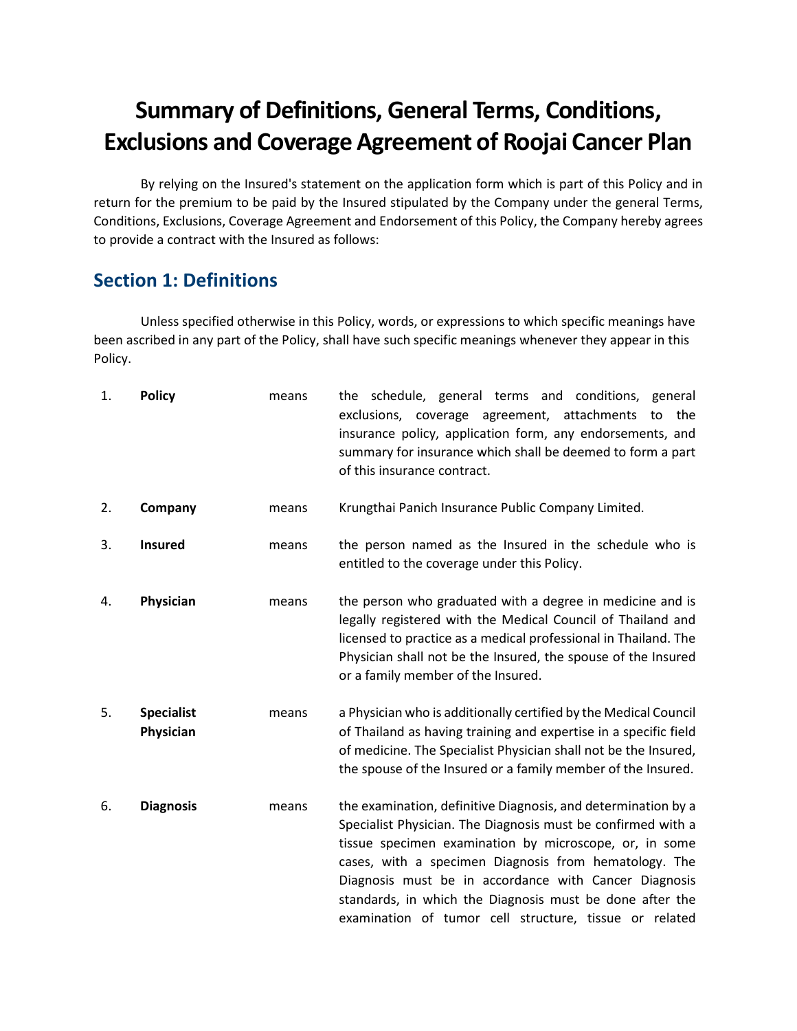# **Summary of Definitions, General Terms, Conditions, Exclusions and Coverage Agreement of Roojai Cancer Plan**

By relying on the Insured's statement on the application form which is part of this Policy and in return for the premium to be paid by the Insured stipulated by the Company under the general Terms, Conditions, Exclusions, Coverage Agreement and Endorsement of this Policy, the Company hereby agrees to provide a contract with the Insured as follows:

# **Section 1: Definitions**

Unless specified otherwise in this Policy, words, or expressions to which specific meanings have been ascribed in any part of the Policy, shall have such specific meanings whenever they appear in this Policy.

| 1. | <b>Policy</b>                  | means | the schedule, general terms and conditions, general<br>exclusions, coverage agreement, attachments to the<br>insurance policy, application form, any endorsements, and<br>summary for insurance which shall be deemed to form a part<br>of this insurance contract.                                                                                                                                                             |
|----|--------------------------------|-------|---------------------------------------------------------------------------------------------------------------------------------------------------------------------------------------------------------------------------------------------------------------------------------------------------------------------------------------------------------------------------------------------------------------------------------|
| 2. | Company                        | means | Krungthai Panich Insurance Public Company Limited.                                                                                                                                                                                                                                                                                                                                                                              |
| 3. | <b>Insured</b>                 | means | the person named as the Insured in the schedule who is<br>entitled to the coverage under this Policy.                                                                                                                                                                                                                                                                                                                           |
| 4. | Physician                      | means | the person who graduated with a degree in medicine and is<br>legally registered with the Medical Council of Thailand and<br>licensed to practice as a medical professional in Thailand. The<br>Physician shall not be the Insured, the spouse of the Insured<br>or a family member of the Insured.                                                                                                                              |
| 5. | <b>Specialist</b><br>Physician | means | a Physician who is additionally certified by the Medical Council<br>of Thailand as having training and expertise in a specific field<br>of medicine. The Specialist Physician shall not be the Insured,<br>the spouse of the Insured or a family member of the Insured.                                                                                                                                                         |
| 6. | <b>Diagnosis</b>               | means | the examination, definitive Diagnosis, and determination by a<br>Specialist Physician. The Diagnosis must be confirmed with a<br>tissue specimen examination by microscope, or, in some<br>cases, with a specimen Diagnosis from hematology. The<br>Diagnosis must be in accordance with Cancer Diagnosis<br>standards, in which the Diagnosis must be done after the<br>examination of tumor cell structure, tissue or related |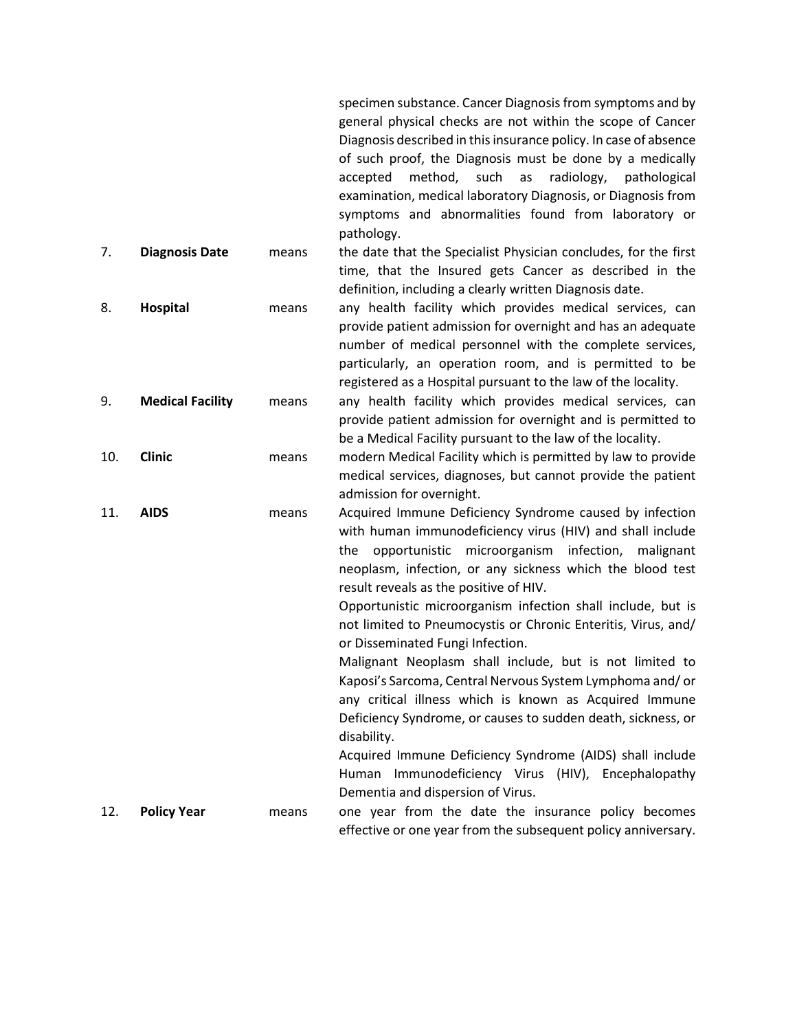specimen substance. Cancer Diagnosis from symptoms and by general physical checks are not within the scope of Cancer Diagnosis described in this insurance policy. In case of absence of such proof, the Diagnosis must be done by a medically accepted method, such as radiology, pathological examination, medical laboratory Diagnosis, or Diagnosis from symptoms and abnormalities found from laboratory or pathology.

- 7. **Diagnosis Date** means the date that the Specialist Physician concludes, for the first time, that the Insured gets Cancer as described in the definition, including a clearly written Diagnosis date.
- 8. **Hospital** means any health facility which provides medical services, can provide patient admission for overnight and has an adequate number of medical personnel with the complete services, particularly, an operation room, and is permitted to be registered as a Hospital pursuant to the law of the locality.
- 9. **Medical Facility** means any health facility which provides medical services, can provide patient admission for overnight and is permitted to be a Medical Facility pursuant to the law of the locality.
- 10. **Clinic** means modern Medical Facility which is permitted by law to provide medical services, diagnoses, but cannot provide the patient admission for overnight.
- 11. **AIDS** means Acquired Immune Deficiency Syndrome caused by infection with human immunodeficiency virus (HIV) and shall include the opportunistic microorganism infection, malignant neoplasm, infection, or any sickness which the blood test result reveals as the positive of HIV.

Opportunistic microorganism infection shall include, but is not limited to Pneumocystis or Chronic Enteritis, Virus, and/ or Disseminated Fungi Infection.

Malignant Neoplasm shall include, but is not limited to Kaposi's Sarcoma, Central Nervous System Lymphoma and/ or any critical illness which is known as Acquired Immune Deficiency Syndrome, or causes to sudden death, sickness, or disability.

Acquired Immune Deficiency Syndrome (AIDS) shall include Human Immunodeficiency Virus (HIV), Encephalopathy Dementia and dispersion of Virus.

12. **Policy Year** means one year from the date the insurance policy becomes effective or one year from the subsequent policy anniversary.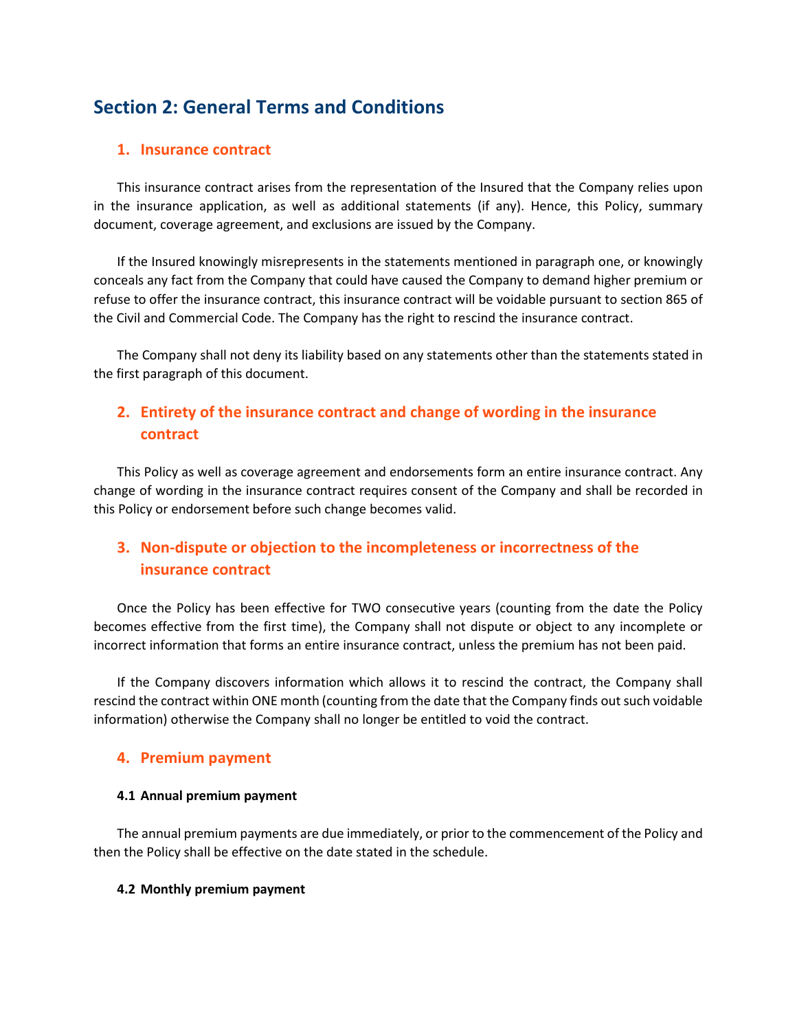# **Section 2: General Terms and Conditions**

#### **1. Insurance contract**

This insurance contract arises from the representation of the Insured that the Company relies upon in the insurance application, as well as additional statements (if any). Hence, this Policy, summary document, coverage agreement, and exclusions are issued by the Company.

If the Insured knowingly misrepresents in the statements mentioned in paragraph one, or knowingly conceals any fact from the Company that could have caused the Company to demand higher premium or refuse to offer the insurance contract, this insurance contract will be voidable pursuant to section 865 of the Civil and Commercial Code. The Company has the right to rescind the insurance contract.

The Company shall not deny its liability based on any statements other than the statements stated in the first paragraph of this document.

# **2. Entirety of the insurance contract and change of wording in the insurance contract**

This Policy as well as coverage agreement and endorsements form an entire insurance contract. Any change of wording in the insurance contract requires consent of the Company and shall be recorded in this Policy or endorsement before such change becomes valid.

# **3. Non-dispute or objection to the incompleteness or incorrectness of the insurance contract**

Once the Policy has been effective for TWO consecutive years (counting from the date the Policy becomes effective from the first time), the Company shall not dispute or object to any incomplete or incorrect information that forms an entire insurance contract, unless the premium has not been paid.

If the Company discovers information which allows it to rescind the contract, the Company shall rescind the contract within ONE month (counting from the date that the Company finds out such voidable information) otherwise the Company shall no longer be entitled to void the contract.

#### **4. Premium payment**

#### **4.1 Annual premium payment**

The annual premium payments are due immediately, or prior to the commencement of the Policy and then the Policy shall be effective on the date stated in the schedule.

#### **4.2 Monthly premium payment**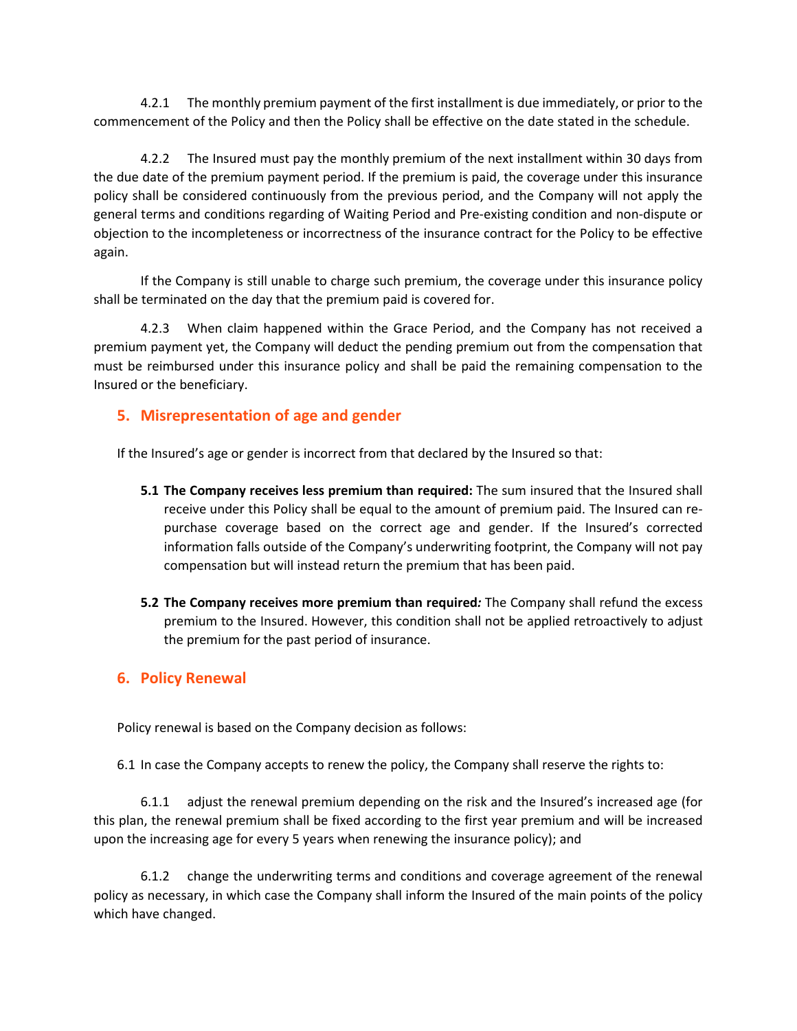4.2.1 The monthly premium payment of the first installment is due immediately, or prior to the commencement of the Policy and then the Policy shall be effective on the date stated in the schedule.

4.2.2 The Insured must pay the monthly premium of the next installment within 30 days from the due date of the premium payment period. If the premium is paid, the coverage under this insurance policy shall be considered continuously from the previous period, and the Company will not apply the general terms and conditions regarding of Waiting Period and Pre-existing condition and non-dispute or objection to the incompleteness or incorrectness of the insurance contract for the Policy to be effective again.

If the Company is still unable to charge such premium, the coverage under this insurance policy shall be terminated on the day that the premium paid is covered for.

4.2.3 When claim happened within the Grace Period, and the Company has not received a premium payment yet, the Company will deduct the pending premium out from the compensation that must be reimbursed under this insurance policy and shall be paid the remaining compensation to the Insured or the beneficiary.

#### **5. Misrepresentation of age and gender**

If the Insured's age or gender is incorrect from that declared by the Insured so that:

- **5.1 The Company receives less premium than required:** The sum insured that the Insured shall receive under this Policy shall be equal to the amount of premium paid. The Insured can repurchase coverage based on the correct age and gender. If the Insured's corrected information falls outside of the Company's underwriting footprint, the Company will not pay compensation but will instead return the premium that has been paid.
- **5.2 The Company receives more premium than required***:* The Company shall refund the excess premium to the Insured. However, this condition shall not be applied retroactively to adjust the premium for the past period of insurance.

#### **6. Policy Renewal**

Policy renewal is based on the Company decision as follows:

6.1 In case the Company accepts to renew the policy, the Company shall reserve the rights to:

6.1.1 adjust the renewal premium depending on the risk and the Insured's increased age (for this plan, the renewal premium shall be fixed according to the first year premium and will be increased upon the increasing age for every 5 years when renewing the insurance policy); and

6.1.2 change the underwriting terms and conditions and coverage agreement of the renewal policy as necessary, in which case the Company shall inform the Insured of the main points of the policy which have changed.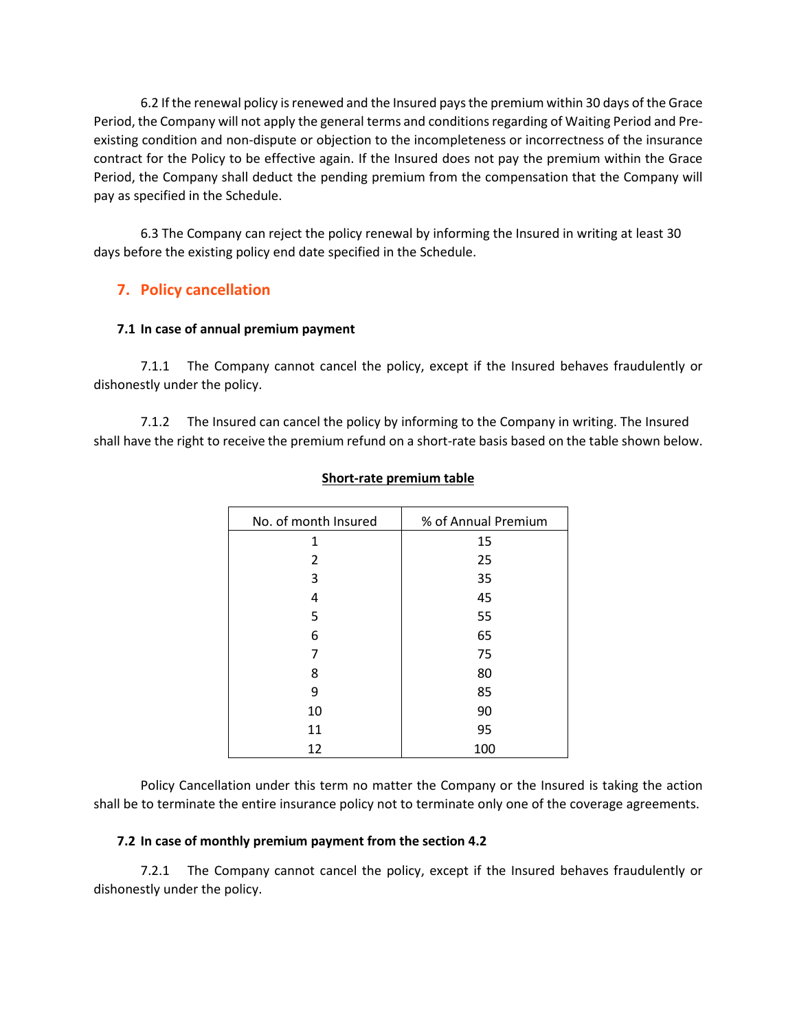6.2 If the renewal policy is renewed and the Insured pays the premium within 30 days of the Grace Period, the Company will not apply the general terms and conditions regarding of Waiting Period and Preexisting condition and non-dispute or objection to the incompleteness or incorrectness of the insurance contract for the Policy to be effective again. If the Insured does not pay the premium within the Grace Period, the Company shall deduct the pending premium from the compensation that the Company will pay as specified in the Schedule.

6.3 The Company can reject the policy renewal by informing the Insured in writing at least 30 days before the existing policy end date specified in the Schedule.

# **7. Policy cancellation**

#### **7.1 In case of annual premium payment**

7.1.1 The Company cannot cancel the policy, except if the Insured behaves fraudulently or dishonestly under the policy.

7.1.2 The Insured can cancel the policy by informing to the Company in writing. The Insured shall have the right to receive the premium refund on a short-rate basis based on the table shown below.

| No. of month Insured | % of Annual Premium |
|----------------------|---------------------|
| 1                    | 15                  |
| 2                    | 25                  |
| 3                    | 35                  |
| 4                    | 45                  |
| 5                    | 55                  |
| 6                    | 65                  |
| 7                    | 75                  |
| 8                    | 80                  |
| 9                    | 85                  |
| 10                   | 90                  |
| 11                   | 95                  |
| 12                   | 100                 |

#### **Short-rate premium table**

Policy Cancellation under this term no matter the Company or the Insured is taking the action shall be to terminate the entire insurance policy not to terminate only one of the coverage agreements.

#### **7.2 In case of monthly premium payment from the section 4.2**

7.2.1 The Company cannot cancel the policy, except if the Insured behaves fraudulently or dishonestly under the policy.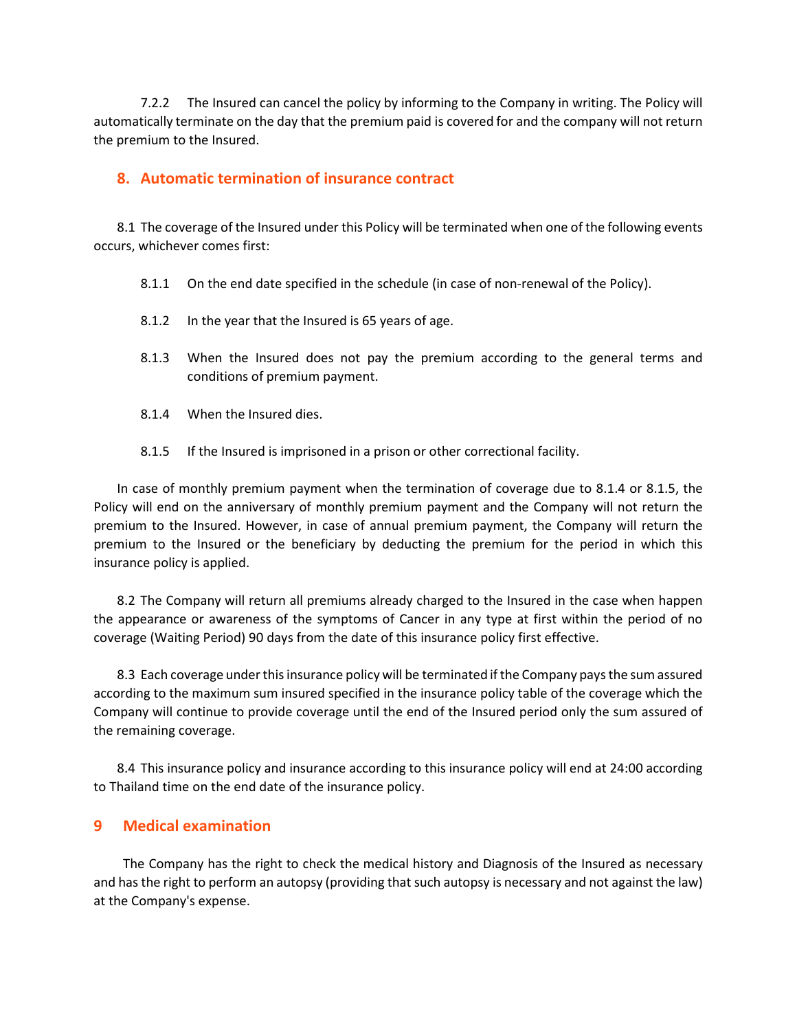7.2.2 The Insured can cancel the policy by informing to the Company in writing. The Policy will automatically terminate on the day that the premium paid is covered for and the company will not return the premium to the Insured.

#### **8. Automatic termination of insurance contract**

8.1 The coverage of the Insured under this Policy will be terminated when one of the following events occurs, whichever comes first:

- 8.1.1 On the end date specified in the schedule (in case of non-renewal of the Policy).
- 8.1.2 In the year that the Insured is 65 years of age.
- 8.1.3 When the Insured does not pay the premium according to the general terms and conditions of premium payment.
- 8.1.4 When the Insured dies.
- 8.1.5 If the Insured is imprisoned in a prison or other correctional facility.

In case of monthly premium payment when the termination of coverage due to 8.1.4 or 8.1.5, the Policy will end on the anniversary of monthly premium payment and the Company will not return the premium to the Insured. However, in case of annual premium payment, the Company will return the premium to the Insured or the beneficiary by deducting the premium for the period in which this insurance policy is applied.

8.2 The Company will return all premiums already charged to the Insured in the case when happen the appearance or awareness of the symptoms of Cancer in any type at first within the period of no coverage (Waiting Period) 90 days from the date of this insurance policy first effective.

8.3 Each coverage under this insurance policy will be terminated if the Company pays the sum assured according to the maximum sum insured specified in the insurance policy table of the coverage which the Company will continue to provide coverage until the end of the Insured period only the sum assured of the remaining coverage.

8.4 This insurance policy and insurance according to this insurance policy will end at 24:00 according to Thailand time on the end date of the insurance policy.

#### **9 Medical examination**

The Company has the right to check the medical history and Diagnosis of the Insured as necessary and has the right to perform an autopsy (providing that such autopsy is necessary and not against the law) at the Company's expense.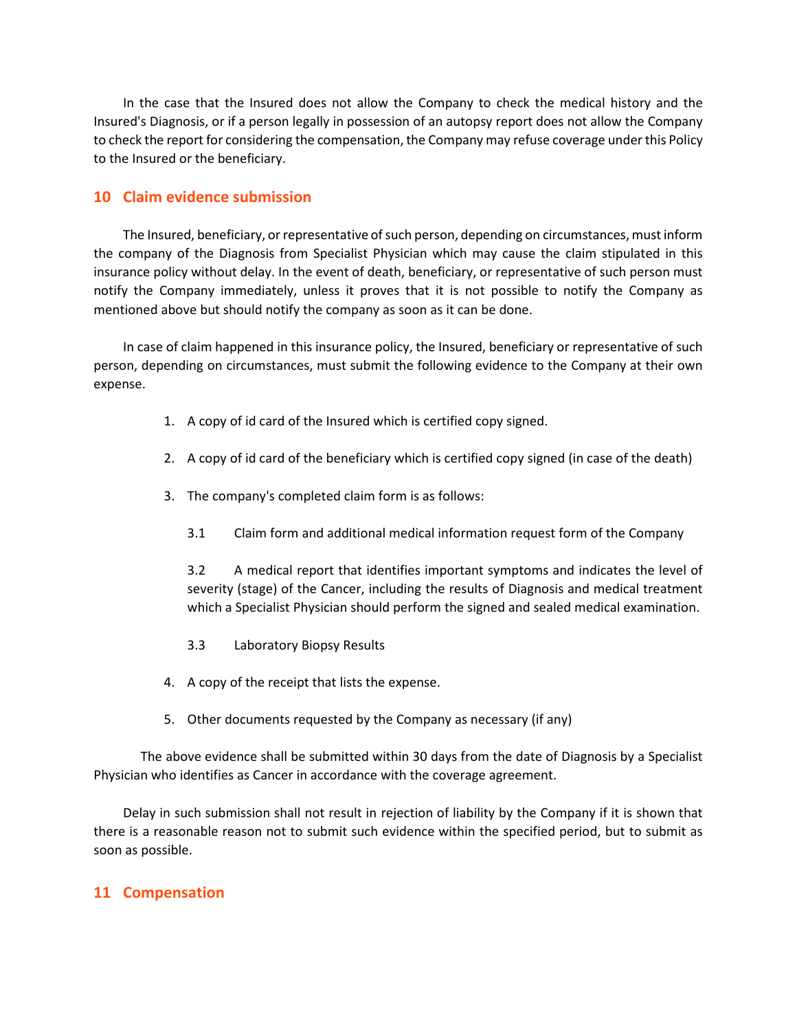In the case that the Insured does not allow the Company to check the medical history and the Insured's Diagnosis, or if a person legally in possession of an autopsy report does not allow the Company to check the report for considering the compensation, the Company may refuse coverage under this Policy to the Insured or the beneficiary.

#### **10 Claim evidence submission**

The Insured, beneficiary, or representative of such person, depending on circumstances, mustinform the company of the Diagnosis from Specialist Physician which may cause the claim stipulated in this insurance policy without delay. In the event of death, beneficiary, or representative of such person must notify the Company immediately, unless it proves that it is not possible to notify the Company as mentioned above but should notify the company as soon as it can be done.

In case of claim happened in this insurance policy, the Insured, beneficiary or representative of such person, depending on circumstances, must submit the following evidence to the Company at their own expense.

- 1. A copy of id card of the Insured which is certified copy signed.
- 2. A copy of id card of the beneficiary which is certified copy signed (in case of the death)
- 3. The company's completed claim form is as follows:
	- 3.1 Claim form and additional medical information request form of the Company

3.2 A medical report that identifies important symptoms and indicates the level of severity (stage) of the Cancer, including the results of Diagnosis and medical treatment which a Specialist Physician should perform the signed and sealed medical examination.

- 3.3 Laboratory Biopsy Results
- 4. A copy of the receipt that lists the expense.
- 5. Other documents requested by the Company as necessary (if any)

The above evidence shall be submitted within 30 days from the date of Diagnosis by a Specialist Physician who identifies as Cancer in accordance with the coverage agreement.

Delay in such submission shall not result in rejection of liability by the Company if it is shown that there is a reasonable reason not to submit such evidence within the specified period, but to submit as soon as possible.

#### **11 Compensation**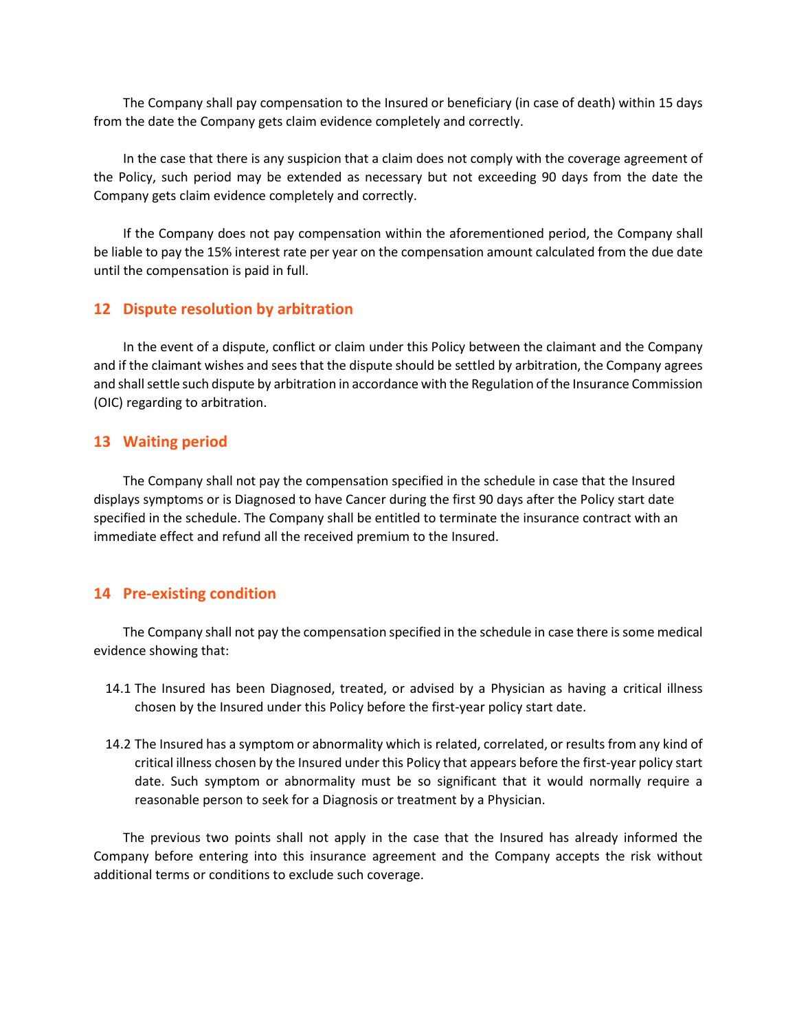The Company shall pay compensation to the Insured or beneficiary (in case of death) within 15 days from the date the Company gets claim evidence completely and correctly.

In the case that there is any suspicion that a claim does not comply with the coverage agreement of the Policy, such period may be extended as necessary but not exceeding 90 days from the date the Company gets claim evidence completely and correctly.

If the Company does not pay compensation within the aforementioned period, the Company shall be liable to pay the 15% interest rate per year on the compensation amount calculated from the due date until the compensation is paid in full.

#### **12 Dispute resolution by arbitration**

In the event of a dispute, conflict or claim under this Policy between the claimant and the Company and if the claimant wishes and sees that the dispute should be settled by arbitration, the Company agrees and shall settle such dispute by arbitration in accordance with the Regulation of the Insurance Commission (OIC) regarding to arbitration.

#### **13 Waiting period**

The Company shall not pay the compensation specified in the schedule in case that the Insured displays symptoms or is Diagnosed to have Cancer during the first 90 days after the Policy start date specified in the schedule. The Company shall be entitled to terminate the insurance contract with an immediate effect and refund all the received premium to the Insured.

#### **14 Pre-existing condition**

The Company shall not pay the compensation specified in the schedule in case there is some medical evidence showing that:

- 14.1 The Insured has been Diagnosed, treated, or advised by a Physician as having a critical illness chosen by the Insured under this Policy before the first-year policy start date.
- 14.2 The Insured has a symptom or abnormality which is related, correlated, or results from any kind of critical illness chosen by the Insured under this Policy that appears before the first-year policy start date. Such symptom or abnormality must be so significant that it would normally require a reasonable person to seek for a Diagnosis or treatment by a Physician.

The previous two points shall not apply in the case that the Insured has already informed the Company before entering into this insurance agreement and the Company accepts the risk without additional terms or conditions to exclude such coverage.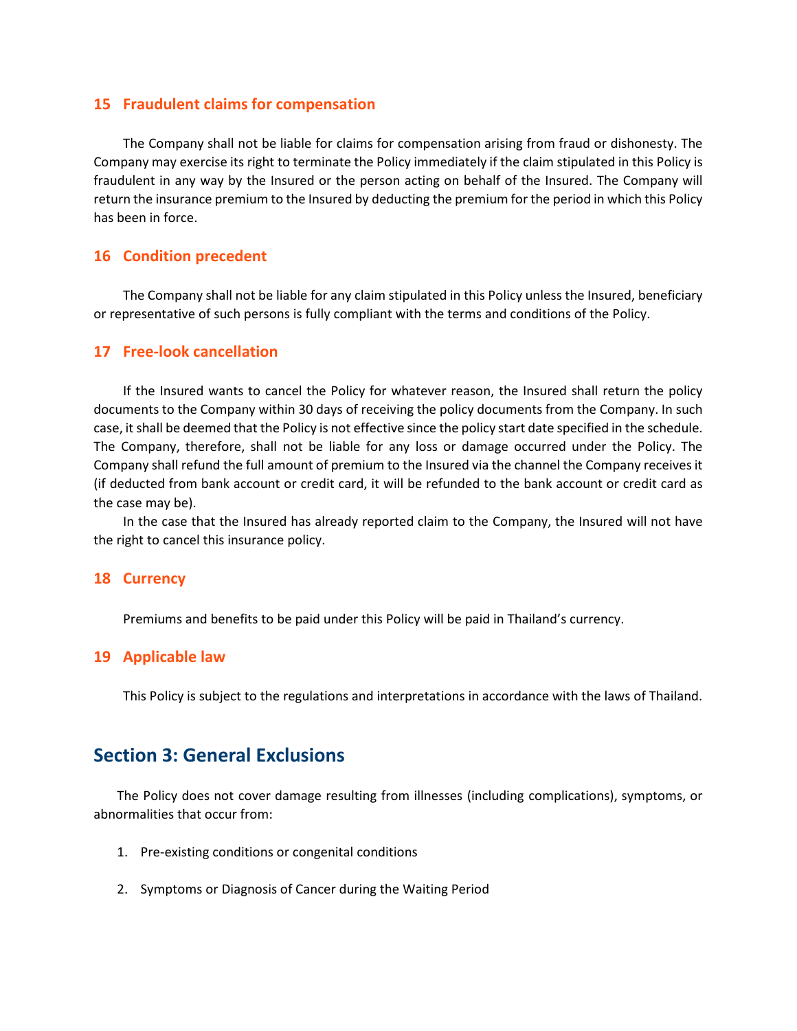#### **15 Fraudulent claims for compensation**

The Company shall not be liable for claims for compensation arising from fraud or dishonesty. The Company may exercise its right to terminate the Policy immediately if the claim stipulated in this Policy is fraudulent in any way by the Insured or the person acting on behalf of the Insured. The Company will return the insurance premium to the Insured by deducting the premium for the period in which this Policy has been in force.

#### **16 Condition precedent**

The Company shall not be liable for any claim stipulated in this Policy unless the Insured, beneficiary or representative of such persons is fully compliant with the terms and conditions of the Policy.

#### **17 Free-look cancellation**

If the Insured wants to cancel the Policy for whatever reason, the Insured shall return the policy documents to the Company within 30 days of receiving the policy documents from the Company. In such case, it shall be deemed that the Policy is not effective since the policy start date specified in the schedule. The Company, therefore, shall not be liable for any loss or damage occurred under the Policy. The Company shall refund the full amount of premium to the Insured via the channel the Company receives it (if deducted from bank account or credit card, it will be refunded to the bank account or credit card as the case may be).

In the case that the Insured has already reported claim to the Company, the Insured will not have the right to cancel this insurance policy.

#### **18 Currency**

Premiums and benefits to be paid under this Policy will be paid in Thailand's currency.

#### **19 Applicable law**

This Policy is subject to the regulations and interpretations in accordance with the laws of Thailand.

# **Section 3: General Exclusions**

The Policy does not cover damage resulting from illnesses (including complications), symptoms, or abnormalities that occur from:

- 1. Pre-existing conditions or congenital conditions
- 2. Symptoms or Diagnosis of Cancer during the Waiting Period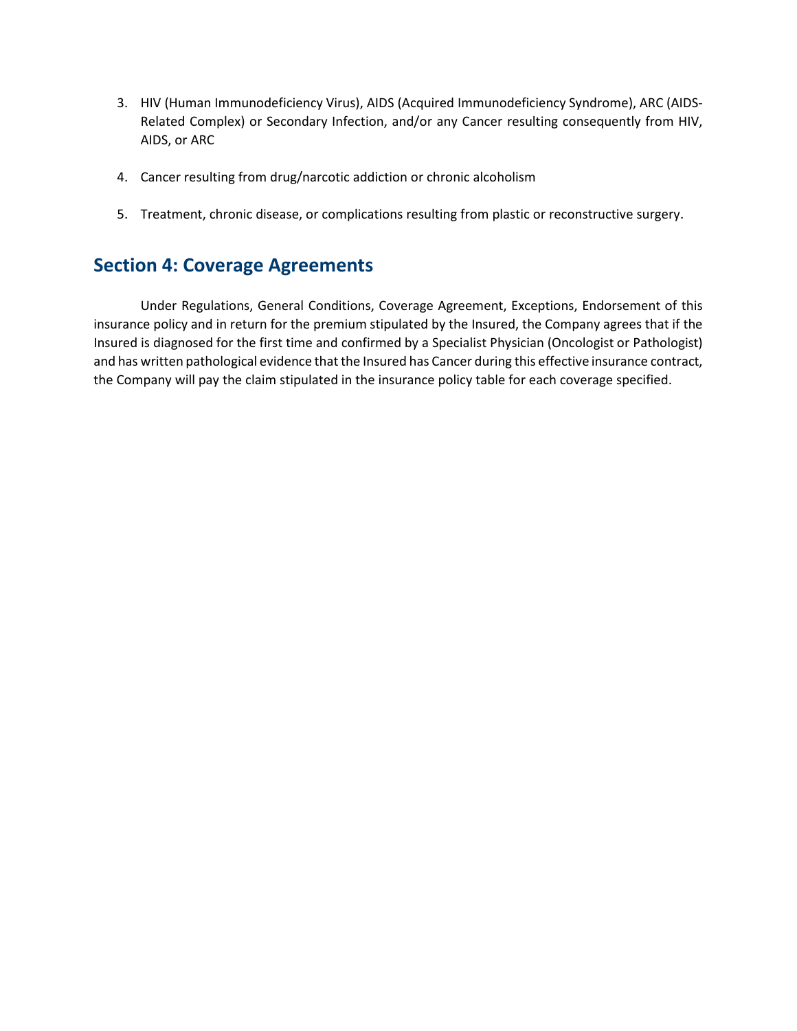- 3. HIV (Human Immunodeficiency Virus), AIDS (Acquired Immunodeficiency Syndrome), ARC (AIDS-Related Complex) or Secondary Infection, and/or any Cancer resulting consequently from HIV, AIDS, or ARC
- 4. Cancer resulting from drug/narcotic addiction or chronic alcoholism
- 5. Treatment, chronic disease, or complications resulting from plastic or reconstructive surgery.

# **Section 4: Coverage Agreements**

Under Regulations, General Conditions, Coverage Agreement, Exceptions, Endorsement of this insurance policy and in return for the premium stipulated by the Insured, the Company agrees that if the Insured is diagnosed for the first time and confirmed by a Specialist Physician (Oncologist or Pathologist) and has written pathological evidence that the Insured has Cancer during this effective insurance contract, the Company will pay the claim stipulated in the insurance policy table for each coverage specified.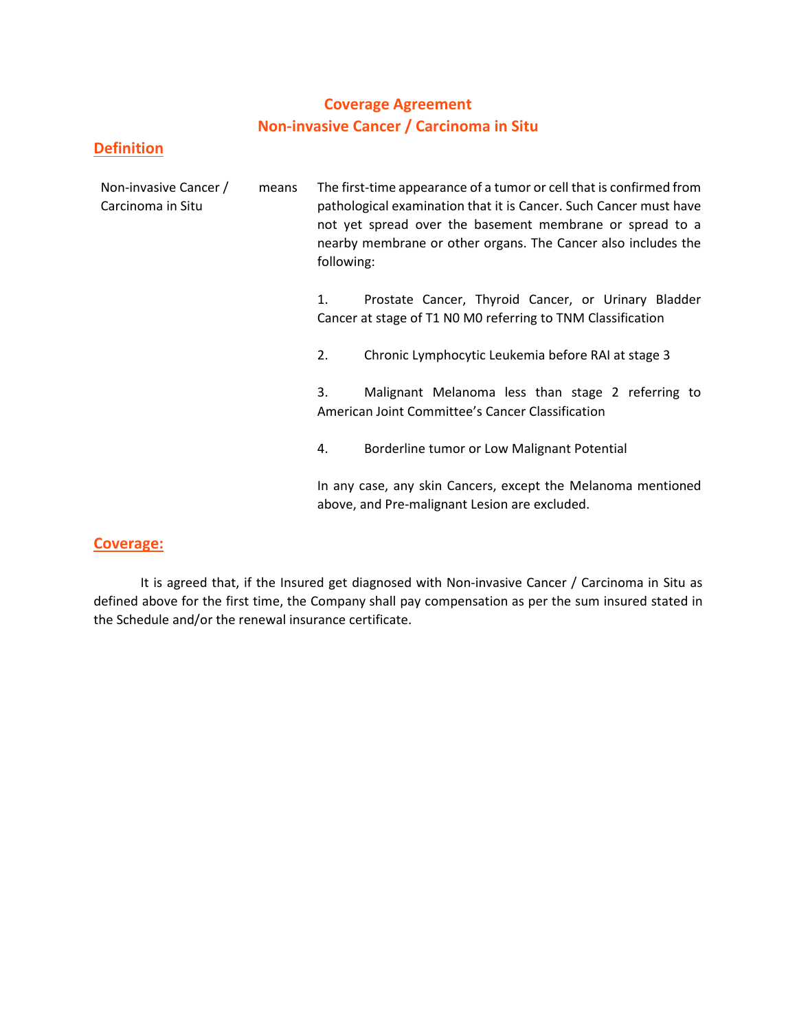# **Coverage Agreement Non-invasive Cancer / Carcinoma in Situ**

### **Definition**

| Non-invasive Cancer /<br>Carcinoma in Situ | means | following: | The first-time appearance of a tumor or cell that is confirmed from<br>pathological examination that it is Cancer. Such Cancer must have<br>not yet spread over the basement membrane or spread to a<br>nearby membrane or other organs. The Cancer also includes the |
|--------------------------------------------|-------|------------|-----------------------------------------------------------------------------------------------------------------------------------------------------------------------------------------------------------------------------------------------------------------------|
|                                            |       | 1.         | Prostate Cancer, Thyroid Cancer, or Urinary Bladder<br>Cancer at stage of T1 N0 M0 referring to TNM Classification                                                                                                                                                    |
|                                            |       | 2.         | Chronic Lymphocytic Leukemia before RAI at stage 3                                                                                                                                                                                                                    |
|                                            |       | 3.         | Malignant Melanoma less than stage 2 referring to<br>American Joint Committee's Cancer Classification                                                                                                                                                                 |
|                                            |       | 4.         | Borderline tumor or Low Malignant Potential                                                                                                                                                                                                                           |
|                                            |       |            | In any case, any skin Cancers, except the Melanoma mentioned<br>above, and Pre-malignant Lesion are excluded.                                                                                                                                                         |

### **Coverage:**

It is agreed that, if the Insured get diagnosed with Non-invasive Cancer / Carcinoma in Situ as defined above for the first time, the Company shall pay compensation as per the sum insured stated in the Schedule and/or the renewal insurance certificate.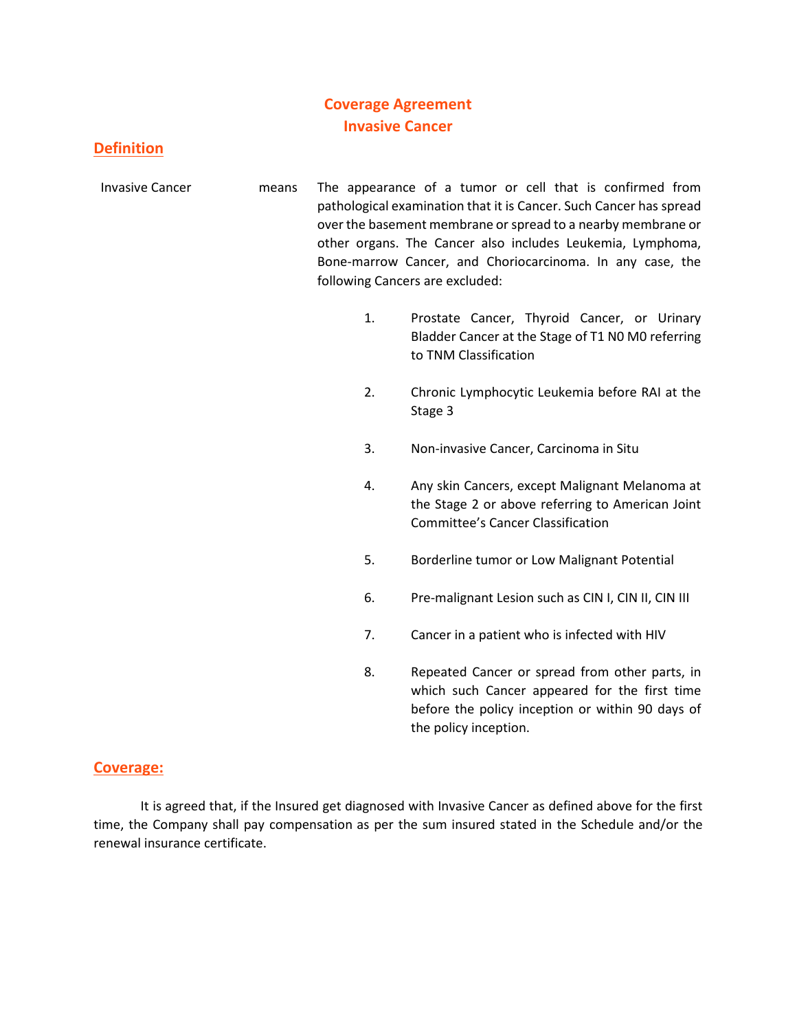# **Coverage Agreement Invasive Cancer**

# **Definition**

- Invasive Cancer means The appearance of a tumor or cell that is confirmed from pathological examination that it is Cancer. Such Cancer has spread over the basement membrane or spread to a nearby membrane or other organs. The Cancer also includes Leukemia, Lymphoma, Bone-marrow Cancer, and Choriocarcinoma. In any case, the following Cancers are excluded:
	- 1. Prostate Cancer, Thyroid Cancer, or Urinary Bladder Cancer at the Stage of T1 N0 M0 referring to TNM Classification
	- 2. Chronic Lymphocytic Leukemia before RAI at the Stage 3
	- 3. Non-invasive Cancer, Carcinoma in Situ
	- 4. Any skin Cancers, except Malignant Melanoma at the Stage 2 or above referring to American Joint Committee's Cancer Classification
	- 5. Borderline tumor or Low Malignant Potential
	- 6. Pre-malignant Lesion such as CIN I, CIN II, CIN III
	- 7. Cancer in a patient who is infected with HIV
	- 8. Repeated Cancer or spread from other parts, in which such Cancer appeared for the first time before the policy inception or within 90 days of the policy inception.

### **Coverage:**

It is agreed that, if the Insured get diagnosed with Invasive Cancer as defined above for the first time, the Company shall pay compensation as per the sum insured stated in the Schedule and/or the renewal insurance certificate.